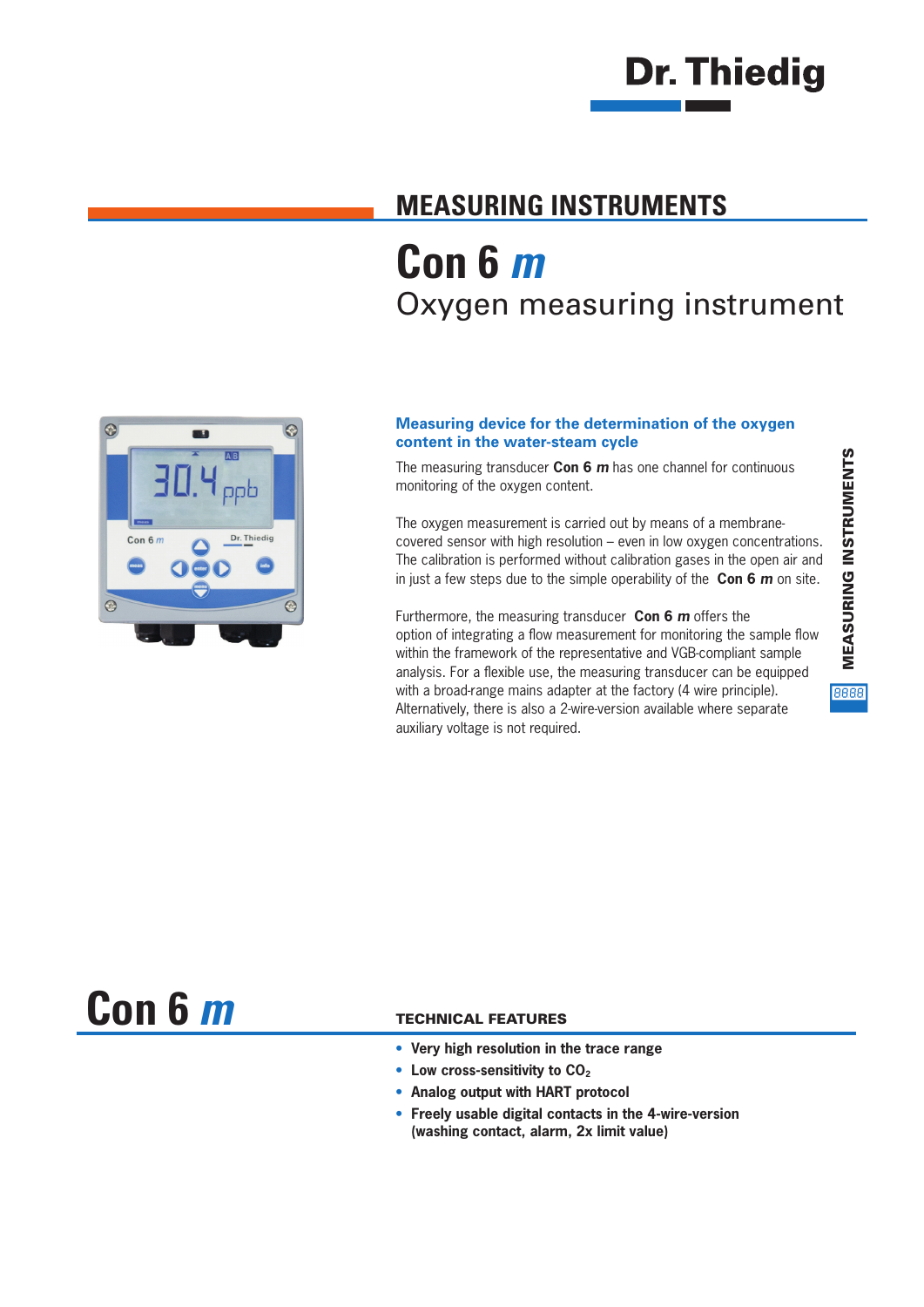# **Dr. Thiedig**

### **MEASURING INSTRUMENTS Con 6** *m* Oxygen measuring instrument



#### **Measuring device for the determination of the oxygen content in the water-steam cycle**

The measuring transducer **Con 6** *m* has one channel for continuous monitoring of the oxygen content.

The oxygen measurement is carried out by means of a membranecovered sensor with high resolution – even in low oxygen concentrations. The calibration is performed without calibration gases in the open air and in just a few steps due to the simple operability of the **Con 6** *m* on site.

Furthermore, the measuring transducer **Con 6** *m* offers the option of integrating a flow measurement for monitoring the sample flow within the framework of the representative and VGB-compliant sample analysis. For a flexible use, the measuring transducer can be equipped with a broad-range mains adapter at the factory (4 wire principle). Alternatively, there is also a 2-wire-version available where separate auxiliary voltage is not required.

8888

**Con 6** *m*

#### TECHNICAL FEATURES

- **• Very high resolution in the trace range**
- Low cross-sensitivity to CO<sub>2</sub>
- **• Analog output with HART protocol**
- **• Freely usable digital contacts in the 4-wire-version (washing contact, alarm, 2x limit value)**